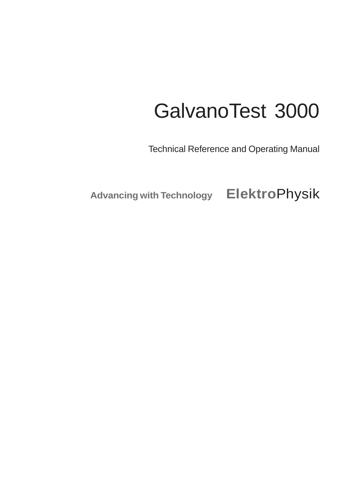# GalvanoTest 3000

Technical Reference and Operating Manual

**Advancing with Technology Elektro**Physik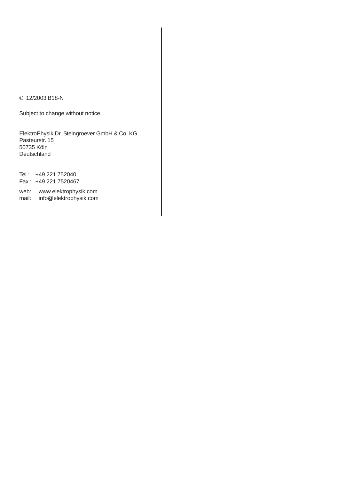#### © 12/2003 B18-N

Subject to change without notice.

ElektroPhysik Dr. Steingroever GmbH & Co. KG Pasteurstr. 15 50735 Köln Deutschland

Tel.: +49 221 752040 Fax.: +49 221 7520467

web: www.elektrophysik.com mail: info@elektrophysik.com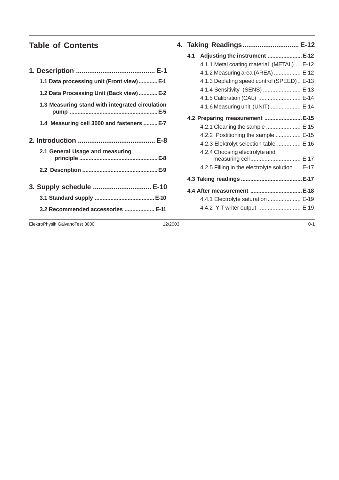# **Table of Contents**

| 1.1 Data processing unit (Front view) E-1       |
|-------------------------------------------------|
| 1.2 Data Processing Unit (Back view)  E-2       |
| 1.3 Measuring stand with integrated circulation |
| 1.4 Measuring cell 3000 and fasteners  E-7      |
|                                                 |
| 2.1 General Usage and measuring                 |
|                                                 |
| 3. Supply schedule  E-10                        |
|                                                 |
| 3.2 Recommended accessories  E-11               |
|                                                 |

|     | 4.   Taking  Readings………………………… E-12            |  |
|-----|-------------------------------------------------|--|
| 4.1 | Adjusting the instrument  E-12                  |  |
|     | 4.1.1 Metal coating material (METAL)  E-12      |  |
|     | 4.1.2 Measuring area (AREA)  E-12               |  |
|     | 4.1.3 Deplating speed control (SPEED) E-13      |  |
|     | 4.1.4 Sensitivity (SENS)  E-13                  |  |
|     | 4.1.5 Calibration (CAL)  E-14                   |  |
|     | 4.1.6 Measuring unit (UNIT)  E-14               |  |
|     | 4.2 Preparing measurement  E-15                 |  |
|     | 4.2.1 Cleaning the sample  E-15                 |  |
|     | 4.2.2 Postitioning the sample  E-15             |  |
|     | 4.2.3 Elektrolyt selection table  E-16          |  |
|     | 4.2.4 Choosing electrolyte and                  |  |
|     | measuring cell E-17                             |  |
|     | 4.2.5 Filling in the electrolyte solution  E-17 |  |
|     |                                                 |  |
|     | 4.4 After measurement  E-18                     |  |
|     | 4.4.1 Electrolyte saturation  E-19              |  |
|     | 4.4.2 Y-T writer output  E-19                   |  |
|     |                                                 |  |

ElektroPhysik GalvanoTest 3000 12/2003 0-1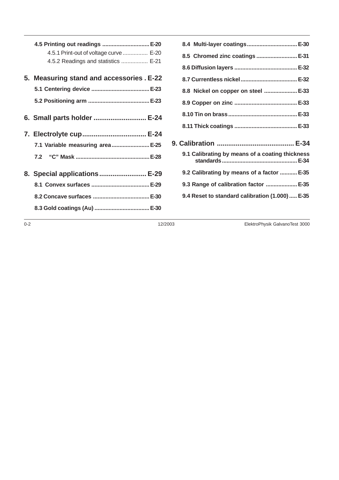| 4.5 Printing out readings  E-20<br>4.5.1 Print-out of voltage curve  E-20<br>4.5.2 Readings and statistics  E-21 |  |
|------------------------------------------------------------------------------------------------------------------|--|
| 5. Measuring stand and accessories . E-22                                                                        |  |
|                                                                                                                  |  |
|                                                                                                                  |  |
| 6. Small parts holder  E-24                                                                                      |  |
| 7. Electrolyte cup E-24                                                                                          |  |
| 7.1 Variable measuring area E-25                                                                                 |  |
|                                                                                                                  |  |
| 8. Special applications  E-29                                                                                    |  |
|                                                                                                                  |  |
|                                                                                                                  |  |
|                                                                                                                  |  |

| 8.4 Multi-layer coatings E-30                   |  |
|-------------------------------------------------|--|
| 8.5 Chromed zinc coatings  E-31                 |  |
|                                                 |  |
|                                                 |  |
| 8.8 Nickel on copper on steel  E-33             |  |
|                                                 |  |
|                                                 |  |
|                                                 |  |
|                                                 |  |
| 9.1 Calibrating by means of a coating thickness |  |
| 9.2 Calibrating by means of a factor  E-35      |  |
| 9.3 Range of calibration factor  E-35           |  |
| 9.4 Reset to standard calibration (1.000)  E-35 |  |
|                                                 |  |

0-2 12/2003 ElektroPhysik GalvanoTest 3000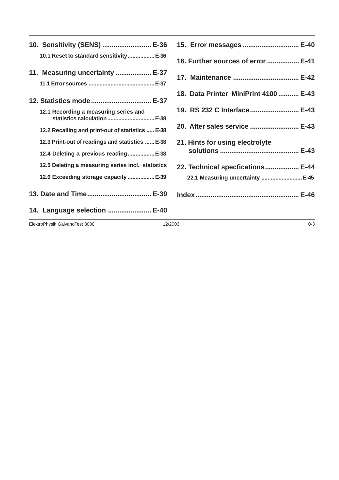| 10. Sensitivity (SENS)  E-36                                          |
|-----------------------------------------------------------------------|
| 10.1 Reset to standard sensitivity E-36                               |
| 11. Measuring uncertainty  E-37                                       |
|                                                                       |
| 12. Statistics mode  E-37                                             |
| 12.1 Recording a measuring series and<br>statistics calculation  E-38 |
| 12.2 Recalling and print-out of statistics  E-38                      |
| 12.3 Print-out of readings and statistics  E-38                       |
| 12.4 Deleting a previous reading E-38                                 |
| 12.5 Deleting a measuring series incl. statistics                     |
| 12.6 Exceeding storage capacity  E-39                                 |
| 13. Date and Time E-39                                                |
| 14. Language selection  E-40                                          |

| 15. Error messages  E-40              |
|---------------------------------------|
| 16. Further sources of error  E-41    |
| 17. Maintenance  E-42                 |
| 18. Data Printer MiniPrint 4100  E-43 |
| 19. RS 232 C Interface E-43           |
| 20. After sales service  E-43         |
| 21. Hints for using electrolyte       |
| 22. Technical specfications E-44      |
| 22.1 Measuring uncertainty  E-45      |
|                                       |

ElektroPhysik GalvanoTest 3000 0-3 12/2003 12/2003 0-3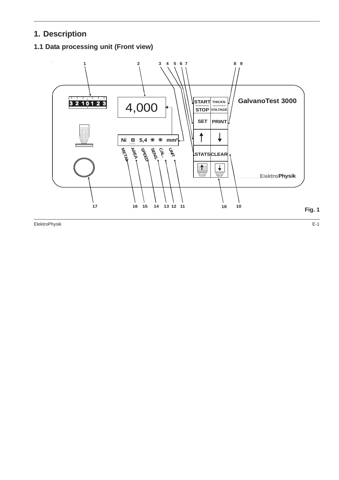# **1. Description**

# **1.1 Data processing unit (Front view)**

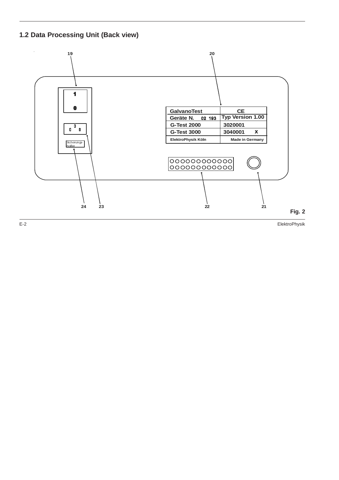# **1.2 Data Processing Unit (Back view)**

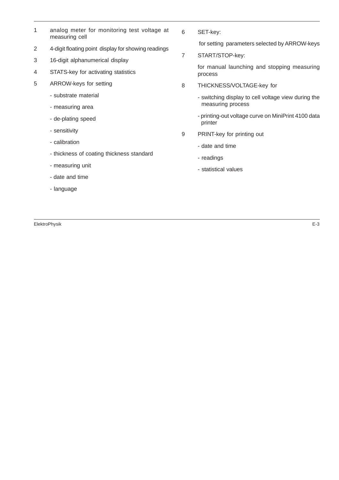- 1 analog meter for monitoring test voltage at measuring cell
- 2 4-digit floating point display for showing readings
- 3 16-digit alphanumerical display
- 4 STATS-key for activating statistics
- 5 ARROW-keys for setting
	- substrate material
	- measuring area
	- de-plating speed
	- sensitivity
	- calibration
	- thickness of coating thickness standard
	- measuring unit
	- date and time
	- language

ElektroPhysik E-3

6 SET-key:

for setting parameters selected by ARROW-keys

7 START/STOP-key:

for manual launching and stopping measuring process

- 8 THICKNESS/VOLTAGE-key for
	- switching display to cell voltage view during the measuring process
	- printing-out voltage curve on MiniPrint 4100 data printer
- 9 PRINT-key for printing out
	- date and time
	- readings
	- statistical values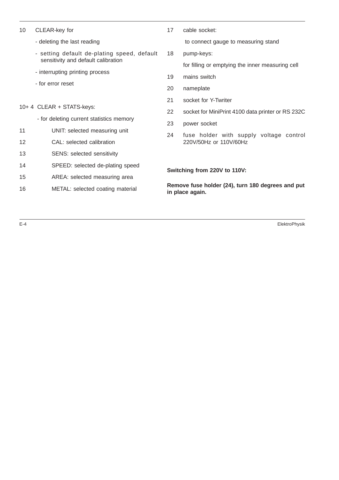| 10 |                                  | CLEAR-key for                                                                      |                                                                      | cable socket:                                     |  |  |  |  |
|----|----------------------------------|------------------------------------------------------------------------------------|----------------------------------------------------------------------|---------------------------------------------------|--|--|--|--|
|    |                                  | - deleting the last reading                                                        |                                                                      | to connect gauge to measuring stand               |  |  |  |  |
|    |                                  | - setting default de-plating speed, default<br>sensitivity and default calibration | 18                                                                   | pump-keys:                                        |  |  |  |  |
|    |                                  |                                                                                    |                                                                      | for filling or emptying the inner measuring cell  |  |  |  |  |
|    |                                  | - interrupting printing process                                                    | 19                                                                   | mains switch                                      |  |  |  |  |
|    |                                  | - for error reset                                                                  |                                                                      | nameplate                                         |  |  |  |  |
|    |                                  |                                                                                    |                                                                      | socket for Y-Twriter                              |  |  |  |  |
|    |                                  | 10+ 4 CLEAR + STATS-keys:                                                          | 22                                                                   | socket for MiniPrint 4100 data printer or RS 232C |  |  |  |  |
|    |                                  | - for deleting current statistics memory                                           | 23                                                                   | power socket                                      |  |  |  |  |
| 11 |                                  | UNIT: selected measuring unit                                                      | 24                                                                   | fuse holder with supply voltage control           |  |  |  |  |
| 12 |                                  | CAL: selected calibration                                                          |                                                                      | 220V/50Hz or 110V/60Hz                            |  |  |  |  |
| 13 |                                  | <b>SENS: selected sensitivity</b>                                                  |                                                                      |                                                   |  |  |  |  |
| 14 |                                  | SPEED: selected de-plating speed                                                   |                                                                      |                                                   |  |  |  |  |
| 15 |                                  | AREA: selected measuring area                                                      |                                                                      | Switching from 220V to 110V:                      |  |  |  |  |
| 16 | METAL: selected coating material |                                                                                    | Remove fuse holder (24), turn 180 degrees and put<br>in place again. |                                                   |  |  |  |  |

E-4 ElektroPhysik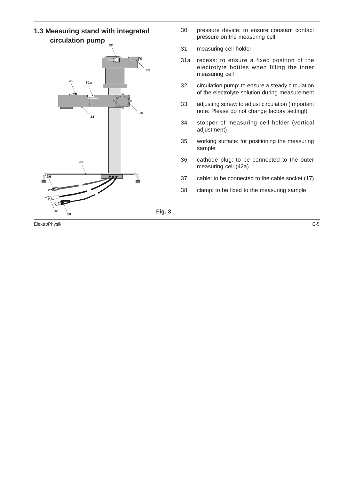#### **1.3 Measuring stand with integrated circulation pump**

![](_page_9_Figure_1.jpeg)

**Fig. 3**

- 30 pressure device: to ensure constant contact pressure on the measuring cell
- 31 measuring cell holder
- 31a recess: to ensure a fixed position of the electrolyte bottles when filling the inner measuring cell
- 32 circulation pump: to ensure a steady circulation of the electrolyte solution during measurement
- 33 adjusting screw: to adjust circulation (Important note: Please do not change factory setting!)
- 34 stopper of measuring cell holder (vertical adjustment)
- 35 working surface: for positioning the measuring sample
- 36 cathode plug: to be connected to the outer measuring cell (42a)
- 37 cable: to be connected to the cable socket (17)
- 38 clamp: to be fixed to the measuring sample

ElektroPhysik E-5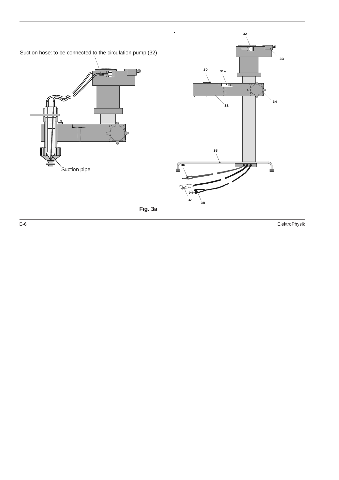![](_page_10_Figure_0.jpeg)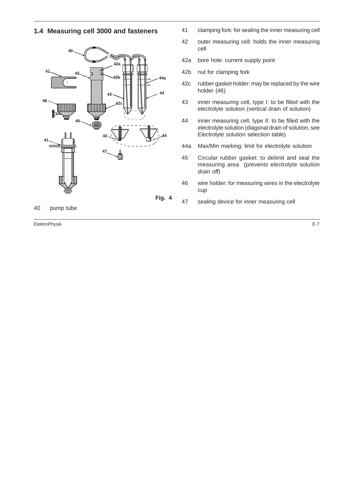#### **1.4 Measuring cell 3000 and fasteners**

![](_page_11_Figure_1.jpeg)

40 pump tube

- 41 clamping fork: for sealing the inner measuring cell
- 42 outer measuring cell: holds the inner measuring cell
- 42a bore hole: current supply point
- 42b nut for clamping fork
- 42c rubber gasket holder: may be replaced by the wire holder (46)
- 43 inner measuring cell, type I: to be filled with the electrolyte solution (vertical drain of solution)
- 44 inner measuring cell, type II: to be filled with the electrolyte solution (diagonal drain of solution, see Electrolyte solution selection table)
- 44a Max/Min marking: limit for electrolyte solution
- 45 Circular rubber gasket: to delimit and seal the measuring area (prevents electrolyte solution drain off)
- 46 wire holder: for measuring wires in the electrolyte cup
- 47 sealing device for inner measuring cell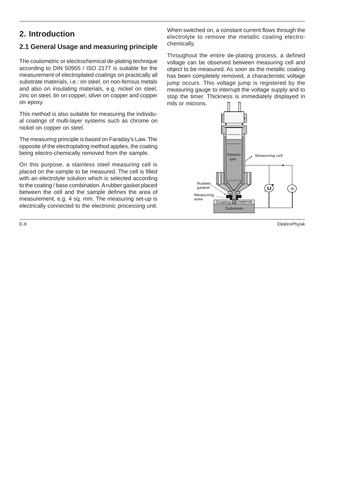# **2. Introduction**

# **2.1 General Usage and measuring principle**

The coulometric or electrochemical de-plating technique according to DIN 50955 / ISO 2177 is suitable for the measurement of electroplated coatings on practically all substrate materials, i.e.: on steel, on non-ferrous metals and also on insulating materials, e.g. nickel on steel, zinc on steel, tin on copper, silver on copper and copper on epoxy.

This method is also suitable for measuring the individual coatings of multi-layer systems such as chrome on nickel on copper on steel.

The measuring principle is based on Faraday's Law. The opposite of the electroplating method applies, the coating being electro-chemically removed from the sample.

On this purpose, a stainless steel measuring cell is placed on the sample to be measured. The cell is filled with an electrolyte solution which is selected according to the coating / base combination. A rubber gasket placed between the cell and the sample defines the area of measurement, e.g. 4 sq. mm. The measuring set-up is electrically connected to the electronic processing unit.

When switched on, a constant current flows through the electrolyte to remove the metallic coating electrochemically.

Throughout the entire de-plating process, a defined voltage can be observed between measuring cell and object to be measured. As soon as the metallic coating has been completely removed, a characteristic voltage jump occurs. This voltage jump is registered by the measuring gauge to interrupt the voltage supply and to stop the timer. Thickness is immediately displayed in mils or microns.

![](_page_12_Figure_8.jpeg)

E-8 ElektroPhysik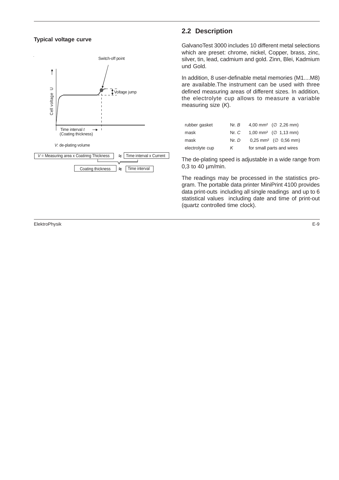#### **Typical voltage curve**

![](_page_13_Figure_1.jpeg)

#### **2.2 Description**

GalvanoTest 3000 includes 10 different metal selections which are preset: chrome, nickel, Copper, brass, zinc, silver, tin, lead, cadmium and gold. Zinn, Blei, Kadmium und Gold.

In addition, 8 user-definable metal memories (M1....M8) are available.The instrument can be used with three defined measuring areas of different sizes. In addition, the electrolyte cup allows to measure a variable measuring size  $(K)$ .

| rubber gasket   | Nr. B | 4,00 mm <sup>2</sup> ( $\varnothing$ 2,26 mm)   |
|-----------------|-------|-------------------------------------------------|
| mask            | Nr. C | 1,00 mm <sup>2</sup> ( $\varnothing$ 1,13 mm)   |
| mask            | Nr, D | $0.25$ mm <sup>2</sup> ( $\varnothing$ 0.56 mm) |
| electrolyte cup | K.    | for small parts and wires                       |

The de-plating speed is adjustable in a wide range from 0,3 to 40 µm/min.

The readings may be processed in the statistics program. The portable data printer MiniPrint 4100 provides data print-outs including all single readings and up to 6 statistical values including date and time of print-out (quartz controlled time clock).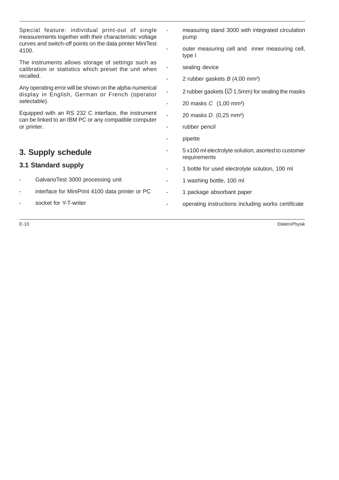|    | measuring stand 3000 with integrated circulation<br>pump            |  |  |  |  |
|----|---------------------------------------------------------------------|--|--|--|--|
|    | outer measuring cell and inner measuring cell,<br>type I            |  |  |  |  |
|    | sealing device                                                      |  |  |  |  |
| ٠  | 2 rubber gaskets $B(4,00 \text{ mm}^2)$                             |  |  |  |  |
|    | 2 rubber gaskets ( $\varnothing$ 1,5mm) for sealing the masks       |  |  |  |  |
|    | 20 masks C (1,00 mm <sup>2</sup> )                                  |  |  |  |  |
| L, | 20 masks <i>D</i> (0,25 mm <sup>2</sup> )                           |  |  |  |  |
|    | rubber pencil                                                       |  |  |  |  |
|    | pipette                                                             |  |  |  |  |
|    | 5 x100 ml electrolyte solution, asorted to customer<br>requirements |  |  |  |  |
|    | 1 bottle for used electrolyte solution, 100 ml                      |  |  |  |  |
|    | 1 washing bottle, 100 ml                                            |  |  |  |  |
| ÷  | 1 package absorbant paper                                           |  |  |  |  |
|    | operating instructions including works certificate                  |  |  |  |  |
|    |                                                                     |  |  |  |  |

E-10 ElektroPhysik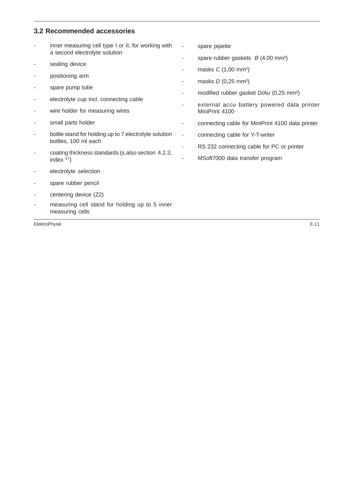# **3.2 Recommended accessories**

|                          | inner measuring cell type I or II, for working with<br>a second electrolyte solution | $\overline{\phantom{a}}$ | spare pipette                                                                                     |  |  |  |  |
|--------------------------|--------------------------------------------------------------------------------------|--------------------------|---------------------------------------------------------------------------------------------------|--|--|--|--|
|                          |                                                                                      |                          | spare rubber gaskets $B(4,00 \text{ mm}^2)$<br>masks $C(1,00$ mm <sup>2</sup> )                   |  |  |  |  |
|                          | sealing device                                                                       |                          |                                                                                                   |  |  |  |  |
|                          | positioning arm                                                                      |                          | masks $D(0,25 \text{ mm}^2)$                                                                      |  |  |  |  |
|                          | spare pump tube                                                                      |                          | modified rubber gasket D/Au (0,25 mm <sup>2</sup> )<br>external accu battery powered data printer |  |  |  |  |
|                          | electrolyte cup incl. connecting cable                                               |                          |                                                                                                   |  |  |  |  |
|                          | wire holder for measuring wires                                                      |                          | MiniPrint 4100                                                                                    |  |  |  |  |
|                          | small parts holder                                                                   |                          | connecting cable for MiniPrint 4100 data printer                                                  |  |  |  |  |
|                          | bottle stand for holding up to 7 electrolyte solution                                | $\blacksquare$           | connecting cable for Y-T-writer                                                                   |  |  |  |  |
|                          | bottles, 100 ml each                                                                 |                          | RS 232 connecting cable for PC or printer                                                         |  |  |  |  |
|                          | coating thickness standards (s.also section 4.2.3,<br>index $ST$ )                   |                          | MSoft7000 data transfer program                                                                   |  |  |  |  |
|                          | electrolyte selection                                                                |                          |                                                                                                   |  |  |  |  |
|                          | spare rubber pencil                                                                  |                          |                                                                                                   |  |  |  |  |
| $\overline{\phantom{a}}$ | centering device (Z2)                                                                |                          |                                                                                                   |  |  |  |  |
|                          | measuring cell stand for holding up to 5 inner<br>measuring cells                    |                          |                                                                                                   |  |  |  |  |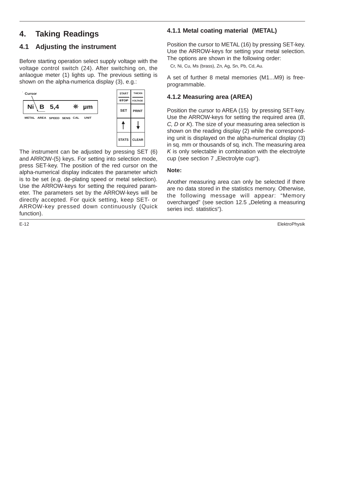# **4. Taking Readings**

# **4.1 Adjusting the instrument**

Before starting operation select supply voltage with the voltage control switch (24). After switching on, the anlaogue meter (1) lights up. The previous setting is shown on the alpha-numerica display (3), e.g.:

![](_page_16_Figure_3.jpeg)

The instrument can be adjusted by pressing SET (6) and ARROW-(5) keys. For setting into selection mode, press SET-key. The position of the red cursor on the alpha-numerical display indicates the parameter which is to be set (e.g. de-plating speed or metal selection). Use the ARROW-keys for setting the required parameter. The parameters set by the ARROW-keys will be directly accepted. For quick setting, keep SET- or ARROW-key pressed down continuously (Quick function).

#### **4.1.1 Metal coating material (METAL)**

Position the cursor to METAL (16) by pressing SET-key. Use the ARROW-keys for setting your metal selection. The options are shown in the following order:

Cr, Ni, Cu, Ms (brass), Zn, Ag, Sn, Pb, Cd, Au.

A set of further 8 metal memories (M1...M9) is freeprogrammable.

#### **4.1.2 Measuring area (AREA)**

Position the cursor to AREA (15) by pressing SET-key. Use the ARROW-keys for setting the required area (B, C, D or K). The size of your measuring area selection is shown on the reading display (2) while the corresponding unit is displayed on the alpha-numerical display (3) in sq. mm or thousands of sq. inch. The measuring area  $K$  is only selectable in combination with the electrolyte cup (see section 7 "Electrolyte cup").

#### **Note:**

Another measuring area can only be selected if there are no data stored in the statistics memory. Otherwise, the following message will appear: "Memory overcharged" (see section 12.5 "Deleting a measuring series incl. statistics").

E-12 ElektroPhysik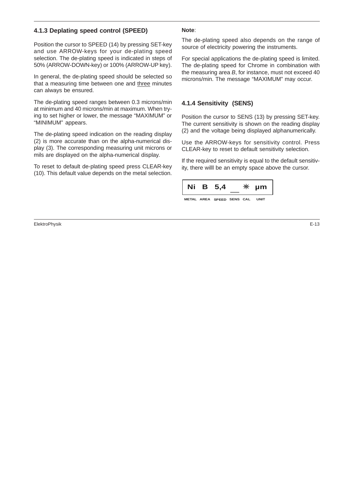#### **4.1.3 Deplating speed control (SPEED)**

Position the cursor to SPEED (14) by pressing SET-key and use ARROW-keys for your de-plating speed selection. The de-plating speed is indicated in steps of 50% (ARROW-DOWN-key) or 100% (ARROW-UP key).

In general, the de-plating speed should be selected so that a measuring time between one and three minutes can always be ensured.

The de-plating speed ranges between 0.3 microns/min at minimum and 40 microns/min at maximum. When trying to set higher or lower, the message "MAXIMUM" or "MINIMUM" appears.

The de-plating speed indication on the reading display (2) is more accurate than on the alpha-numerical display (3). The corresponding measuring unit microns or mils are displayed on the alpha-numerical display.

To reset to default de-plating speed press CLEAR-key (10). This default value depends on the metal selection.

#### **Note**:

The de-plating speed also depends on the range of source of electricity powering the instruments.

For special applications the de-plating speed is limited. The de-plating speed for Chrome in combination with the measuring area  $B$ , for instance, must not exceed 40 microns/min. The message "MAXIMUM" may occur.

#### **4.1.4 Sensitivity (SENS)**

Position the cursor to SENS (13) by pressing SET-key. The current sensitivity is shown on the reading display (2) and the voltage being displayed alphanumerically.

Use the ARROW-keys for sensitivity control. Press CLEAR-key to reset to default sensitivity selection.

If the required sensitivity is equal to the default sensitivity, there willl be an empty space above the cursor.

![](_page_17_Picture_13.jpeg)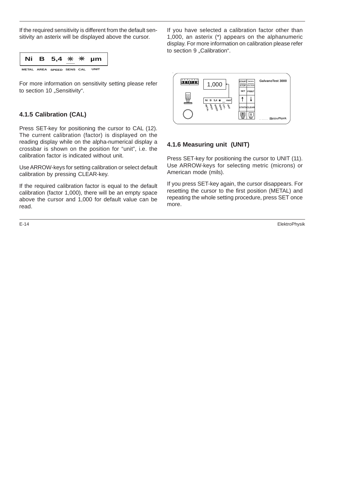If the required sensitivity is different from the default sensitivity an asterix will be displayed above the cursor.

|  | Ni B 5,4 $*$ $*$ $*$ µm   |  |      |
|--|---------------------------|--|------|
|  | METAL AREA SPEED SENS CAL |  | UNIT |

For more information on sensitivity setting please refer to section 10 "Sensitivity".

#### **4.1.5 Calibration (CAL)**

Press SET-key for positioning the cursor to CAL (12). The current calibration (factor) is displayed on the reading display while on the alpha-numerical display a crossbar is shown on the position for "unit", i.e. the calibration factor is indicated without unit.

Use ARROW-keys for setting calibration or select default calibration by pressing CLEAR-key.

If the required calibration factor is equal to the default calibration (factor 1,000), there will be an empty space above the cursor and 1,000 for default value can be read.

If you have selected a calibration factor other than 1,000, an asterix (\*) appears on the alphanumeric display. For more information on calibration please refer to section 9 "Calibration".

![](_page_18_Figure_9.jpeg)

#### **4.1.6 Measuring unit (UNIT)**

Press SET-key for positioning the cursor to UNIT (11). Use ARROW-keys for selecting metric (microns) or American mode (mils).

If you press SET-key again, the cursor disappears. For resetting the cursor to the first position (METAL) and repeating the whole setting procedure, press SET once more.

E-14 ElektroPhysik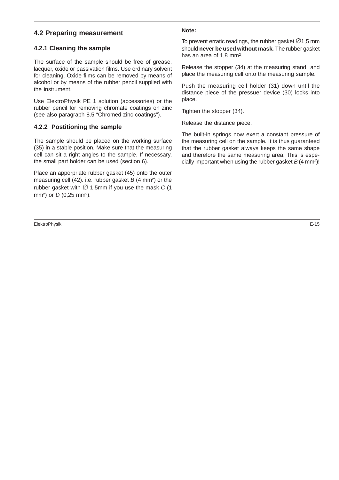#### **4.2 Preparing measurement**

#### **4.2.1 Cleaning the sample**

The surface of the sample should be free of grease, lacquer, oxide or passivation films. Use ordinary solvent for cleaning. Oxide films can be removed by means of alcohol or by means of the rubber pencil supplied with the instrument.

Use ElektroPhysik PE 1 solution (accessories) or the rubber pencil for removing chromate coatings on zinc (see also paragraph 8.5 "Chromed zinc coatings").

#### **4.2.2 Postitioning the sample**

The sample should be placed on the working surface (35) in a stable position. Make sure that the measuring cell can sit a right angles to the sample. If necessary, the small part holder can be used (section 6).

Place an apporpriate rubber gasket (45) onto the outer measuring cell  $(42)$ . i.e. rubber gasket B  $(4 \text{ mm}^2)$  or the rubber gasket with  $\varnothing$  1,5mm if you use the mask C (1 mm<sup>2</sup>) or  $D$  (0,25 mm<sup>2</sup>).

ElektroPhysik E-15

#### **Note:**

To prevent erratic readings, the rubber gasket  $\varnothing$ 1,5 mm should **never be used without mask.** The rubber gasket has an area of 1,8 mm².

Release the stopper (34) at the measuring stand and place the measuring cell onto the measuring sample.

Push the measuring cell holder (31) down until the distance piece of the pressuer device (30) locks into place.

Tighten the stopper (34).

Release the distance piece.

The built-in springs now exert a constant pressure of the measuring cell on the sample. It is thus guaranteed that the rubber gasket always keeps the same shape and therefore the same measuring area. This is especially important when using the rubber gasket  $B(4 \text{ mm}^2)!$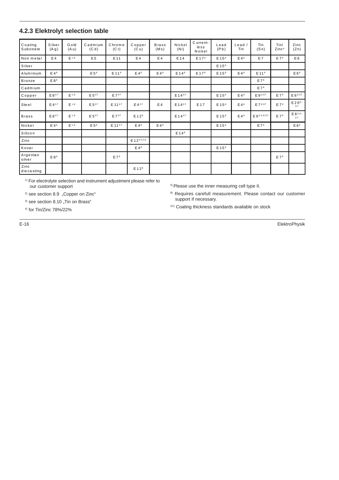#### **4.2.3 Elektrolyt selection table**

| Coating<br>Substrate | Silver<br>(A g)  | Gold<br>(A u) | Cadmium<br>(Cd)   | Chrome<br>(Cr)     | Copper<br>(C <sub>u</sub> ) | <b>Brass</b><br>(Ms) | Nickel<br>(Ni)    | Current-<br>less<br>Nickel | Lead<br>(Pb)      | Lead/<br>Tin    | Tin<br>(Sn)       | Tin/<br>Zinc <sup>4</sup> | Zinc<br>(Zn)                |
|----------------------|------------------|---------------|-------------------|--------------------|-----------------------------|----------------------|-------------------|----------------------------|-------------------|-----------------|-------------------|---------------------------|-----------------------------|
| Non metal            | $E_4$            | $E^{1,8}$     | E 5               | E 11               | E 4                         | E 4                  | E 14              | E 17 <sup>8</sup>          | E 15 <sup>8</sup> | E4 <sup>8</sup> | E7                | E78                       | E <sub>6</sub>              |
| Silver               |                  |               |                   |                    |                             |                      |                   |                            | E 15 <sup>8</sup> |                 |                   |                           |                             |
| Aluminium            | E4 <sup>8</sup>  |               | E 5 <sup>8</sup>  | E 11 <sup>8</sup>  | E4 <sup>8</sup>             | E48                  | E 14 <sup>8</sup> | E 178                      | E 15 <sup>8</sup> | E4 <sup>8</sup> | E 11 <sup>8</sup> |                           | E6 <sup>8</sup>             |
| Bronze               | E88              |               |                   |                    |                             |                      |                   |                            |                   |                 | $E7^8$            |                           |                             |
| Cadmium              |                  |               |                   |                    |                             |                      |                   |                            |                   |                 | E7 <sup>8</sup>   |                           |                             |
| Copper               | $E8^{ST}$        | $E^{1,8}$     | E 5 <sup>ST</sup> | $E7^{ST}$          |                             |                      | $E14^{ST}$        |                            | E 15 <sup>8</sup> | $E4^8$          | $E 9^{5;ST}$      | E7 <sup>8</sup>           | $E 6^{8;ST}$                |
| Steel                | $E4^{ST}$        | $E^{1,8}$     | E 5 <sup>ST</sup> | E 11 <sup>ST</sup> | $E4^{ST}$                   | E4                   | $E$ 14 $ST$       | E17                        | E 15 <sup>8</sup> | $E4^8$          | $E 7^{8;ST}$      | E7 <sup>8</sup>           | $E 20^{8}$<br>ST.           |
| Brass                | $E8^{ST}$        | $E^{1,8}$     | E 5 <sup>ST</sup> | $E7^{ST}$          | E 12 <sup>8</sup>           |                      | $E14^{ST}$        |                            | E 15 <sup>8</sup> | $E4^8$          | E 93;5;8;ST       | E 7 <sup>8</sup>          | E 6 <sup>5;8;-</sup><br>ST. |
| Nickel               | E4 <sup>8</sup>  | $E^{1,8}$     | E 5 <sup>8</sup>  | $E$ 11 $ST$        | E4 <sup>8</sup>             | $E4^8$               |                   |                            | E 15 <sup>8</sup> |                 | E 7 <sup>8</sup>  |                           | E6 <sup>8</sup>             |
| Silicon              |                  |               |                   |                    |                             |                      | E 14 <sup>8</sup> |                            |                   |                 |                   |                           |                             |
| Zinc                 |                  |               |                   |                    | E 12 ST;2;8                 |                      |                   |                            |                   |                 |                   |                           |                             |
| Kovar                |                  |               |                   |                    | $E4^8$                      |                      |                   |                            | E 15 <sup>8</sup> |                 |                   |                           |                             |
| Argentan<br>silver   | E 8 <sup>8</sup> |               |                   | E7 <sup>8</sup>    |                             |                      |                   |                            |                   |                 |                   | $E7^8$                    |                             |
| Zinc<br>diecasting   |                  |               |                   |                    | E12 <sup>8</sup>            |                      |                   |                            |                   |                 |                   |                           |                             |

<sup>1)</sup> For electrolyte selection and instrument adjustment please refer to our customer support

<sup>2)</sup> see section 8.9 "Copper on Zinc"

 $3)$  see section 8.10 "Tin on Brass"

4) for Tin/Zinc 78%/22%

5) Please use the inner measuring cell type II.

8) Requires carefull measurement. Please contact our customer support if necessary.

 $\mathbf{S}^{\text{ST}}$ ) Coating thickness standards available on stock

E-16 ElektroPhysik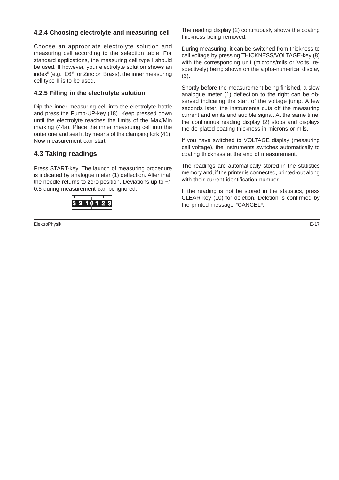#### **4.2.4 Choosing electrolyte and measuring cell**

Choose an appropriate electrolyte solution and measuring cell according to the selection table. For standard applications, the measuring cell type I should be used. If however, your electrolyte solution shows an index<sup>5</sup> (e.g. E6<sup>5</sup> for Zinc on Brass), the inner measuring cell type II is to be used.

#### **4.2.5 Filling in the electrolyte solution**

Dip the inner measuring cell into the electrolyte bottle and press the Pump-UP-key (18). Keep pressed down until the electrolyte reaches the limits of the Max/Min marking (44a). Place the inner measruing cell into the outer one and seal it by means of the clamping fork (41). Now measurement can start.

#### **4.3 Taking readings**

Press START-key. The launch of measuring procedure is indicated by analogue meter (1) deflection. After that, the needle returns to zero position. Deviations up to +/- 0.5 during measurement can be ignored.

![](_page_21_Picture_6.jpeg)

ElektroPhysik E-17

The reading display (2) continuously shows the coating thickness being removed.

During measuring, it can be switched from thickness to cell voltage by pressing THICKNESS/VOLTAGE-key (8) with the corresponding unit (microns/mils or Volts, respectively) being shown on the alpha-numerical display (3).

Shortly before the measurement being finished, a slow analogue meter (1) deflection to the right can be observed indicating the start of the voltage jump. A few seconds later, the instruments cuts off the measuring current and emits and audible signal. At the same time, the continuous reading display (2) stops and displays the de-plated coating thickness in microns or mils.

If you have switched to VOLTAGE display (measuring cell voltage), the instruments switches automatically to coating thickness at the end of measurement.

The readings are automatically stored in the statistics memory and, if the printer is connected, printed-out along with their current identification number.

If the reading is not be stored in the statistics, press CLEAR-key (10) for deletion. Deletion is confirmed by the printed message \*CANCEL\*.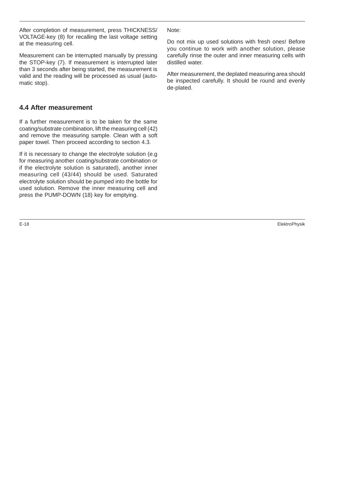After completion of measurement, press THICKNESS/ VOLTAGE-key (8) for recalling the last voltage setting at the measuring cell.

Measurement can be interrupted manually by pressing the STOP-key (7). If measurement is interrupted later than 3 seconds after being started, the measurement is valid and the reading will be processed as usual (automatic stop).

#### **4.4 After measurement**

If a further measurement is to be taken for the same coating/substrate combination, lift the measuring cell (42) and remove the measuring sample. Clean with a soft paper towel. Then proceed according to section 4.3.

If it is necessary to change the electrolyte solution (e.g for measuring another coating/substrate combination or if the electrolyte solution is saturated), another inner measuring cell (43/44) should be used. Saturated electrolyte solution should be pumped into the bottle for used solution. Remove the inner measuring cell and press the PUMP-DOWN (18) key for emptying.

Note:

Do not mix up used solutions with fresh ones! Before you continue to work with another solution, please carefully rinse the outer and inner measuring cells with distilled water.

After measurement, the deplated measuring area should be inspected carefully. It should be round and evenly de-plated.

E-18 ElektroPhysik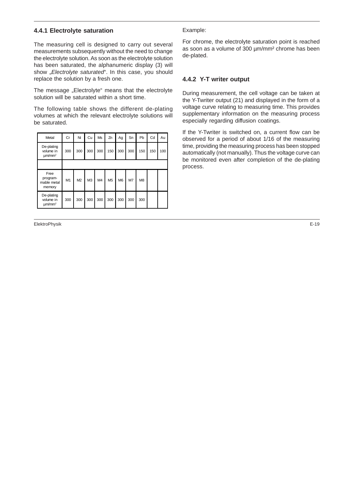#### **4.4.1 Electrolyte saturation**

The measuring cell is designed to carry out several measurements subsequently without the need to change the electrolyte solution. As soon as the electrolyte solution has been saturated, the alphanumeric display (3) will show "Electrolyte saturated". In this case, you should replace the solution by a fresh one.

The message "Electrolyte" means that the electrolyte solution will be saturated within a short time.

The following table shows the different de-plating volumes at which the relevant electrolyte solutions will be saturated.

| Metal                                              | Cr  | Ni             | Cu             | Ms             | Zn             | Ag             | Sn  | Pb             | Cd  | Au  |
|----------------------------------------------------|-----|----------------|----------------|----------------|----------------|----------------|-----|----------------|-----|-----|
| De-plating<br>volume in<br>$\mu$ m/mm <sup>2</sup> | 300 | 300            | 300            | 300            | 150            | 300            | 300 | 150            | 150 | 100 |
|                                                    |     |                |                |                |                |                |     |                |     |     |
| Free<br>program-<br>mable metal<br>memory          | M1  | M <sub>2</sub> | M <sub>3</sub> | M <sub>4</sub> | M <sub>5</sub> | M <sub>6</sub> | M7  | M <sub>8</sub> |     |     |
| De-plating<br>volume in<br>$\mu$ m/mm <sup>2</sup> | 300 | 300            | 300            | 300            | 300            | 300            | 300 | 300            |     |     |

ElektroPhysik E-19

#### Example:

For chrome, the electrolyte saturation point is reached as soon as a volume of 300 µm/mm² chrome has been de-plated.

#### **4.4.2 Y-T writer output**

During measurement, the cell voltage can be taken at the Y-Twriter output (21) and displayed in the form of a voltage curve relating to measuring time. This provides supplementary information on the measuring process especially regarding diffusion coatings.

If the Y-Twriter is switched on, a current flow can be observed for a period of about 1/16 of the measuring time, providing the measuring process has been stopped automatically (not manually). Thus the voltage curve can be monitored even after completion of the de-plating process.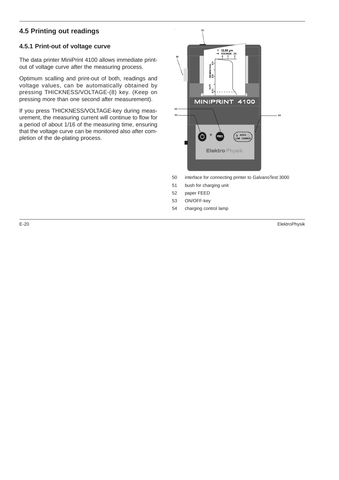# **4.5 Printing out readings**

#### **4.5.1 Print-out of voltage curve**

The data printer MiniPrint 4100 allows immediate printout of voltage curve after the measuring process.

Optimum scalling and print-out of both, readings and voltage values, can be automatically obtained by pressing THICKNESS/VOLTAGE-(8) key. (Keep on pressing more than one second after measurement).

If you press THICKNESS/VOLTAGE-key during measurement, the measuring current will continue to flow for a period of about 1/16 of the measuring time, ensuring that the voltage curve can be monitored also after completion of the de-plating process.

![](_page_24_Picture_5.jpeg)

- 50 interface for connecting printer to GalvanoTest 3000
- 51 bush for charging unit
- 52 paper FEED
- 53 ON/OFF-key
- 54 charging control lamp

E-20 ElektroPhysik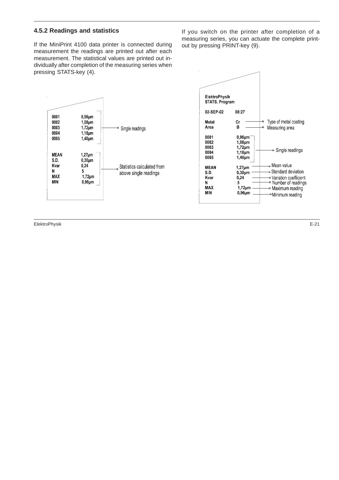#### **4.5.2 Readings and statistics**

If the MiniPrint 4100 data printer is connected during measurement the readings are printed out after each measurement. The statistical values are printed out individually after completion of the measuring series when pressing STATS-key (4).

<sup>e</sup> Single readings

Statistics calculated from

above single readings

 $0,96$ µm

 $1,08$ µm

 $1,72$ µm

 $1,18 \mu m$ 

 $1,40 \mu m$ 

 $1,27 \mu m$ 

 $0,30$ µm

 $1,72 \mu m$ 

 $0,96 \mu m$ 

 $0,24$ 

 $\overline{5}$ 

If you switch on the printer after completion of a measuring series, you can actuate the complete printout by pressing PRINT-key (9).

![](_page_25_Figure_3.jpeg)

ElektroPhysik E-21

0001

 $0002$ 

0003

0004

0005

**MEAN** 

S.D.

Kvar

**MAX** 

**MIN** 

N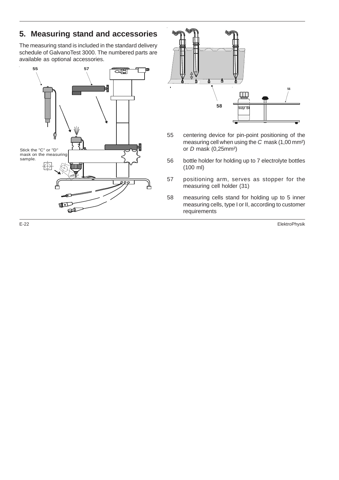# **5. Measuring stand and accessories**

The measuring stand is included in the standard delivery schedule of GalvanoTest 3000. The numbered parts are available as optional accessories.

![](_page_26_Figure_2.jpeg)

![](_page_26_Figure_3.jpeg)

- 55 centering device for pin-point positioning of the measuring cell when using the C mask (1,00 mm²) or  $D$  mask (0,25mm<sup>2</sup>)
- 56 bottle holder for holding up to 7 electrolyte bottles (100 ml)
- 57 positioning arm, serves as stopper for the measuring cell holder (31)
- 58 measuring cells stand for holding up to 5 inner measuring cells, type I or II, according to customer requirements

E-22 ElektroPhysik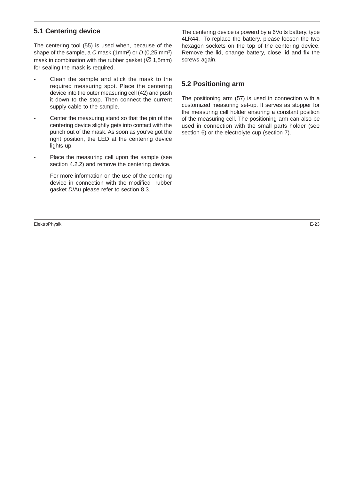#### **5.1 Centering device**

The centering tool (55) is used when, because of the shape of the sample, a C mask (1mm<sup>2</sup>) or  $D(0,25 \text{ mm}^2)$ mask in combination with the rubber gasket ( $\varnothing$  1,5mm) for sealing the mask is required.

- Clean the sample and stick the mask to the required measuring spot. Place the centering device into the outer measuring cell (42) and push it down to the stop. Then connect the current supply cable to the sample.
- Center the measuring stand so that the pin of the centering device slightly gets into contact with the punch out of the mask. As soon as you've got the right position, the LED at the centering device lights up.
- Place the measuring cell upon the sample (see section 4.2.2) and remove the centering device.
- For more information on the use of the centering device in connection with the modified rubber gasket D/Au please refer to section 8.3.

ElektroPhysik E-23

The centering device is powerd by a 6Volts battery, type 4LR44. To replace the battery, please loosen the two hexagon sockets on the top of the centering device. Remove the lid, change battery, close lid and fix the screws again.

#### **5.2 Positioning arm**

The positioning arm (57) is used in connection with a customized measuring set-up. It serves as stopper for the measuring cell holder ensuring a constant position of the measuring cell. The positioning arm can also be used in connection with the small parts holder (see section 6) or the electrolyte cup (section 7).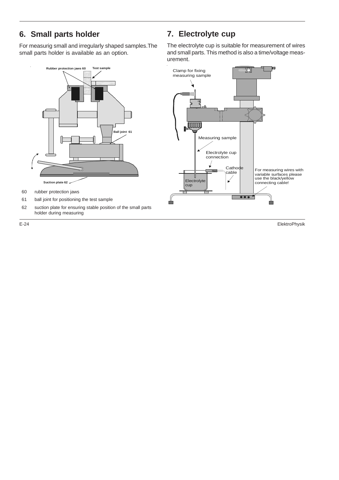# **6. Small parts holder**

For measurig small and irregularly shaped samples.The small parts holder is available as an option.

![](_page_28_Figure_2.jpeg)

- 60 rubber protection jaws
- 61 ball joint for positioning the test sample
- 62 suction plate for ensuring stable position of the small parts holder during measuring

# **7. Electrolyte cup**

The electrolyte cup is suitable for measurement of wires and small parts. This method is also a time/voltage measurement.

![](_page_28_Figure_9.jpeg)

E-24 ElektroPhysik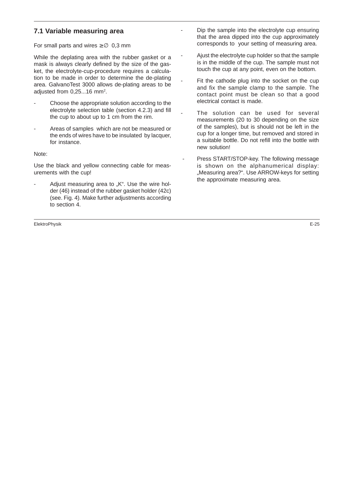#### **7.1 Variable measuring area**

For small parts and wires  $\geq \emptyset$  0,3 mm

While the deplating area with the rubber gasket or a mask is always clearly defined by the size of the gasket, the electrolyte-cup-procedure requires a calculation to be made in order to determine the de-plating area. GalvanoTest 3000 allows de-plating areas to be adjusted from 0,25...16 mm<sup>2</sup>.

- Choose the appropriate solution according to the electrolyte selection table (section 4.2.3) and fill the cup to about up to 1 cm from the rim.
- Areas of samples which are not be measured or the ends of wires have to be insulated by lacquer, for instance.

Note:

Use the black and yellow connecting cable for measurements with the cup!

Adjust measuring area to "K". Use the wire holder (46) instead of the rubber gasket holder (42c) (see. Fig. 4). Make further adjustments according to section 4.

- Dip the sample into the electrolyte cup ensuring that the area dipped into the cup approximately corresponds to your setting of measuring area.
- Ajust the electrolyte cup holder so that the sample is in the middle of the cup. The sample must not touch the cup at any point, even on the bottom.
- Fit the cathode plug into the socket on the cup and fix the sample clamp to the sample. The contact point must be clean so that a good electrical contact is made.
- The solution can be used for several measurements (20 to 30 depending on the size of the samples), but is should not be left in the cup for a longer time, but removed and stored in a suitable bottle. Do not refill into the bottle with new solution!
- Press START/STOP-key. The following message is shown on the alphanumerical display: "Measuring area?". Use ARROW-keys for setting the approximate measuring area.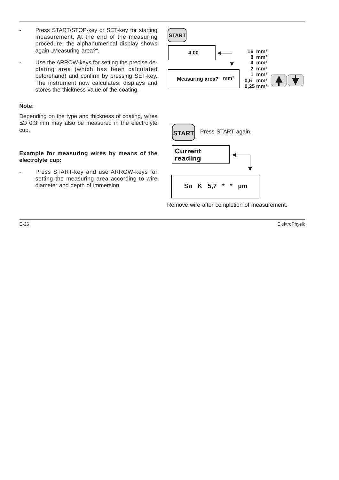- Press START/STOP-key or SET-key for starting measurement. At the end of the measuring procedure, the alphanumerical display shows again "Measuring area?".
- Use the ARROW-keys for setting the precise deplating area (which has been calculated beforehand) and confirm by pressing SET-key. The instrument now calculates, displays and stores the thickness value of the coating.

#### **Note:**

Depending on the type and thickness of coating, wires ≤∅ 0,3 mm may also be measured in the electrolyte cup.

#### **Example for measuring wires by means of the electrolyte cup:**

- Press START-key and use ARROW-keys for setting the measuring area according to wire diameter and depth of immersion.

![](_page_30_Figure_6.jpeg)

![](_page_30_Figure_7.jpeg)

Remove wire after completion of measurement.

E-26 ElektroPhysik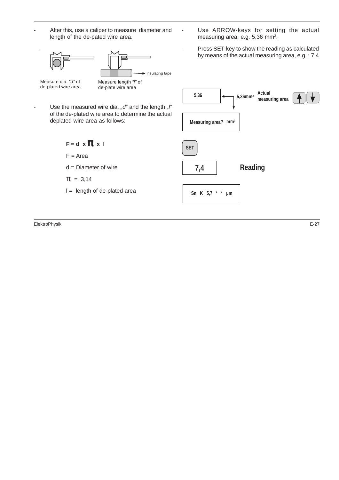![](_page_31_Figure_0.jpeg)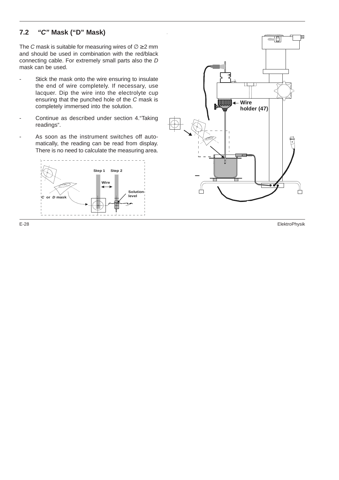#### **7.2 "C" Mask ("D" Mask)**

The C mask is suitable for measuring wires of  $\emptyset \geq 2$  mm and should be used in combination with the red/black connecting cable. For extremely small parts also the D mask can be used.

- Stick the mask onto the wire ensuring to insulate the end of wire completely. If necessary, use lacquer. Dip the wire into the electrolyte cup ensuring that the punched hole of the C mask is completely immersed into the solution.
- Continue as described under section 4. "Taking readings".
- As soon as the instrument switches off automatically, the reading can be read from display. There is no need to calculate the measuring area.

![](_page_32_Figure_5.jpeg)

![](_page_32_Figure_6.jpeg)

E-28 ElektroPhysik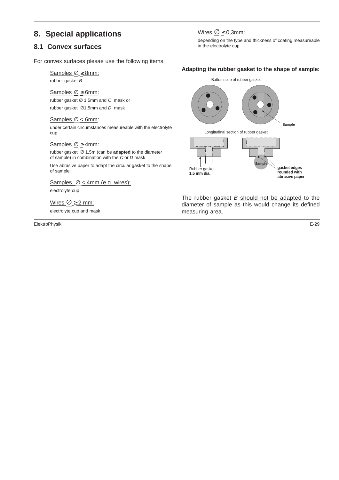# **8. Special applications**

#### **8.1 Convex surfaces**

For convex surfaces plesae use the following items:

Samples ∅ ≥ 8mm: rubber gasket B

Samples Ø ≥ 6mm:

rubber gasket ∅ 1,5mm and C mask or

rubber gasket ∅1,5mm and D mask

#### Samples ∅ < 6mm:

under certain circumstances measureable with the electrolyte cup

#### Samples ∅ ≥ 4mm:

rubber gasket ∅ 1,5m (can be **adapted** to the diameter of sample) in combination with the C or D mask

Use abrasive paper to adapt the circular gasket to the shape of sample.

Samples  $\varnothing$  < 4mm (e.g. wires):

electrolyte cup

Wires  $\varnothing \geq 2$  mm:

electrolyte cup and mask

ElektroPhysik E-29

#### Wires  $\varnothing \leq 0,3$ mm:

depending on the type and thickness of coating measureable in the electrolyte cup

#### **Adapting the rubber gasket to the shape of sample:**

![](_page_33_Figure_20.jpeg)

The rubber gasket  $B$  should not be adapted to the diameter of sample as this would change its defined measuring area.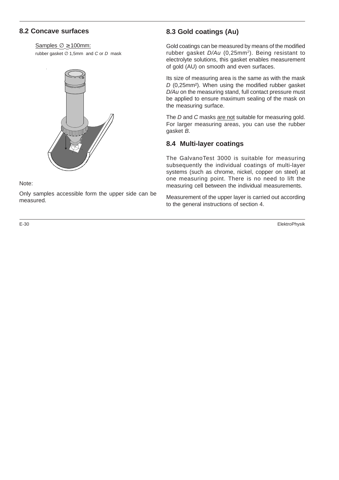#### **8.2 Concave surfaces**

#### Samples ∅ ≥ 100mm:

rubber gasket  $\varnothing$  1,5mm and C or D mask

![](_page_34_Picture_3.jpeg)

Note:

Only samples accessible form the upper side can be measured.

### **8.3 Gold coatings (Au)**

Gold coatings can be measured by means of the modified rubber gasket D/Au (0,25mm<sup>2</sup>). Being resistant to electrolyte solutions, this gasket enables measurement of gold (AU) on smooth and even surfaces.

Its size of measuring area is the same as with the mask D (0,25mm²). When using the modified rubber gasket D/Au on the measuring stand, full contact pressure must be applied to ensure maximum sealing of the mask on the measuring surface.

The D and C masks are not suitable for measuring gold. For larger measuring areas, you can use the rubber gasket B.

#### **8.4 Multi-layer coatings**

The GalvanoTest 3000 is suitable for measuring subsequently the individual coatings of multi-layer systems (such as chrome, nickel, copper on steel) at one measuring point. There is no need to lift the measuring cell between the individual measurements.

Measurement of the upper layer is carried out according to the general instructions of section 4.

E-30 ElektroPhysik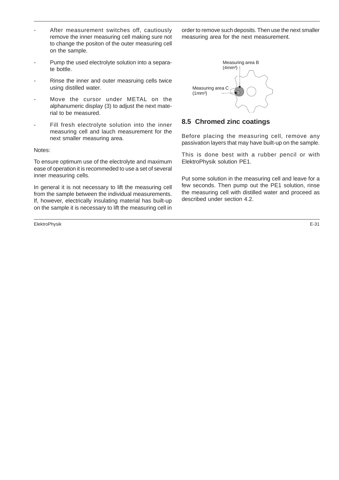- After measurement switches off, cautiously remove the inner measuring cell making sure not to change the positon of the outer measuring cell on the sample.
- Pump the used electrolyte solution into a separate bottle.
- Rinse the inner and outer measruing cells twice using distilled water.
- Move the cursor under METAL on the alphanumeric display (3) to adjust the next material to be measured.
- Fill fresh electrolyte solution into the inner measuring cell and lauch measurement for the next smaller measuring area.

#### Notes:

To ensure optimum use of the electrolyte and maximum ease of operation it is recommeded to use a set of several inner measuring cells.

In general it is not necessary to lift the measuring cell from the sample between the individual measurements. If, however, electrically insulating material has built-up on the sample it is necessary to lift the measuring cell in

ElektroPhysik E-31

order to remove such deposits. Then use the next smaller measuring area for the next measurement.

![](_page_35_Figure_10.jpeg)

#### **8.5 Chromed zinc coatings**

Before placing the measuring cell, remove any passivation layers that may have built-up on the sample.

This is done best with a rubber pencil or with ElektroPhysik solution PE1.

Put some solution in the measuring cell and leave for a few seconds. Then pump out the PE1 solution, rinse the measuring cell with distilled water and proceed as described under section 4.2.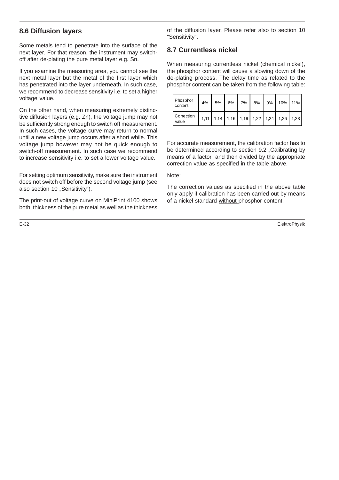#### **8.6 Diffusion layers**

Some metals tend to penetrate into the surface of the next layer. For that reason, the instrument may switchoff after de-plating the pure metal layer e.g. Sn.

If you examine the measuring area, you cannot see the next metal layer but the metal of the first layer which has penetrated into the layer underneath. In such case, we recommend to decrease sensitivity i.e. to set a higher voltage value.

On the other hand, when measuring extremely distinctive diffusion layers (e.g. Zn), the voltage jump may not be sufficiently strong enough to switch off measurement. In such cases, the voltage curve may return to normal until a new voltage jump occurs after a short while. This voltage jump however may not be quick enough to switch-off measurement. In such case we recommend to increase sensitivity i.e. to set a lower voltage value.

For setting optimum sensitivity, make sure the instrument does not switch off before the second voltage jump (see also section 10 "Sensitivity").

The print-out of voltage curve on MiniPrint 4100 shows both, thickness of the pure metal as well as the thickness

of the diffusion layer. Please refer also to section 10 "Sensitivity".

### **8.7 Currentless nickel**

When measuring currentless nickel (chemical nickel), the phosphor content will cause a slowing down of the de-plating process. The delay time as related to the phosphor content can be taken from the following table:

| Phosphor<br>content | 4% | $5%$ |  |  | 6% 7% 8% 9% 10% 11%                     |  |
|---------------------|----|------|--|--|-----------------------------------------|--|
| Correction<br>value |    |      |  |  | 1,11 1,14 1,16 1,19 1,22 1,24 1,26 1,28 |  |

For accurate measurement, the calibration factor has to be determined according to section 9.2 . Calibrating by means of a factor" and then divided by the appropriate correction value as specified in the table above.

#### Note:

The correction values as specified in the above table only apply if calibration has been carried out by means of a nickel standard without phosphor content.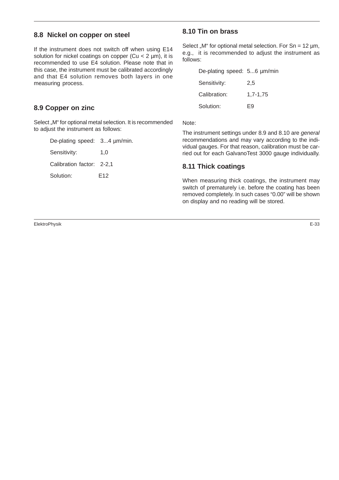#### **8.8 Nickel on copper on steel**

If the instrument does not switch off when using E14 solution for nickel coatings on copper ( $Cu < 2 \mu m$ ), it is recommended to use E4 solution. Please note that in this case, the instrument must be calibrated accordingly and that E4 solution removes both layers in one measuring process.

#### **8.9 Copper on zinc**

Select "M" for optional metal selection. It is recommended to adjust the instrument as follows:

| De-plating speed: 34 µm/min. |     |
|------------------------------|-----|
| Sensitivity:                 | 1.0 |
| Calibration factor: 2-2,1    |     |
| Solution:                    | E12 |
|                              |     |

#### **8.10 Tin on brass**

Select "M" for optional metal selection. For Sn =  $12 \mu m$ , e.g., it is recommended to adjust the instrument as follows:

| De-plating speed: 56 µm/min |          |
|-----------------------------|----------|
| Sensitivity:                | 2.5      |
| Calibration:                | 1.7-1.75 |
| Solution:                   | F9       |

Note:

The instrument settings under 8.9 and 8.10 are general recommendations and may vary according to the individual gauges. For that reason, calibration must be carried out for each GalvanoTest 3000 gauge individually.

#### **8.11 Thick coatings**

When measuring thick coatings, the instrument may switch of prematurely i.e. before the coating has been removed completely. In such cases "0.00" will be shown on display and no reading will be stored.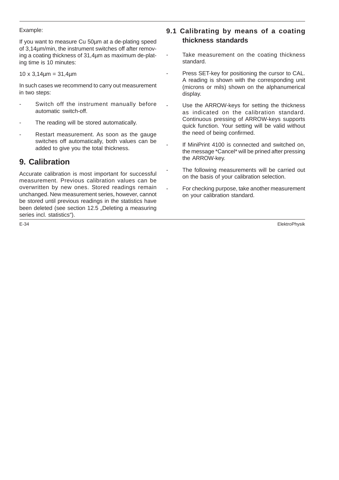#### Example:

If you want to measure Cu 50µm at a de-plating speed of 3,14µm/min, the instrument switches off after removing a coating thickness of 31,4µm as maximum de-plating time is 10 minutes:

 $10 \times 3,14 \mu m = 31,4 \mu m$ 

In such cases we recommend to carry out measurement in two steps:

- Switch off the instrument manually before automatic switch-off.
- The reading will be stored automatically.
- Restart measurement. As soon as the gauge switches off automatically, both values can be added to give you the total thickness.

# **9. Calibration**

Accurate calibration is most important for successful measurement. Previous calibration values can be overwritten by new ones. Stored readings remain unchanged. New measurement series, however, cannot be stored until previous readings in the statistics have been deleted (see section 12.5 "Deleting a measuring series incl. statistics").

# **9.1 Calibrating by means of a coating thickness standards**

- Take measurement on the coating thickness standard.
- Press SET-key for positioning the cursor to CAL. A reading is shown with the corresponding unit (microns or mils) shown on the alphanumerical display.
	- Use the ARROW-keys for setting the thickness as indicated on the calibration standard. Continuous pressing of ARROW-keys supports quick function. Your setting will be valid without the need of being confirmed.
	- If MiniPrint 4100 is connected and switched on, the message \*Cancel\* will be prined after pressing the ARROW-key.
	- The following measurements will be carried out on the basis of your calibration selection.
	- For checking purpose, take another measurement on your calibration standard.

E-34 ElektroPhysik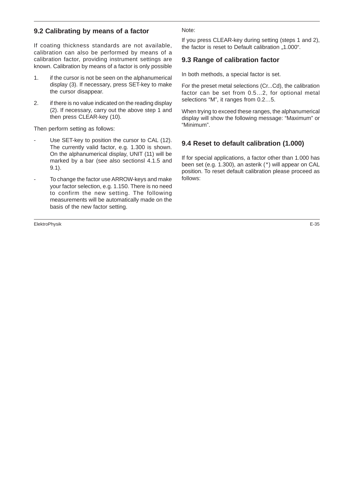#### **9.2 Calibrating by means of a factor**

If coating thickness standards are not available, calibration can also be performed by means of a calibration factor, providing instrument settings are known. Calibration by means of a factor is only possible

- 1. if the cursor is not be seen on the alphanumerical display (3). If necessary, press SET-key to make the cursor disappear.
- 2. if there is no value indicated on the reading display (2). If necessary, carry out the above step 1 and then press CLEAR-key (10).

Then perform setting as follows:

- Use SET-key to position the cursor to CAL (12). The currently valid factor, e.g. 1.300 is shown. On the alphanumerical display, UNIT (11) will be marked by a bar (see also sectionsl 4.1.5 and 9.1).
- To change the factor use ARROW-keys and make your factor selection, e.g. 1.150. There is no need to confirm the new setting. The following measurements will be automatically made on the basis of the new factor setting.

ElektroPhysik E-35

Note:

If you press CLEAR-key during setting (steps 1 and 2), the factor is reset to Default calibration "1.000".

#### **9.3 Range of calibration factor**

In both methods, a special factor is set.

For the preset metal selections (Cr...Cd), the calibration factor can be set from 0.5…2, for optional metal selections "M", it ranges from 0.2…5.

When trying to exceed these ranges, the alphanumerical display will show the following message: "Maximum" or "Minimum".

#### **9.4 Reset to default calibration (1.000)**

If for special applications, a factor other than 1.000 has been set (e.g. 1.300), an asterik (\*) will appear on CAL position. To reset default calibration please proceed as follows: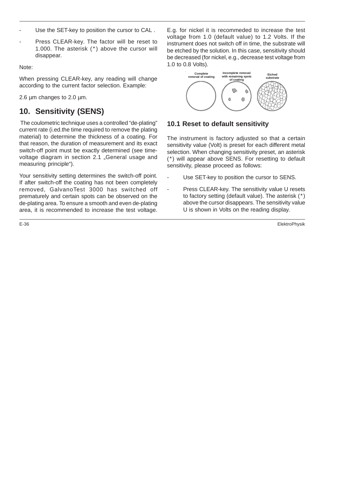- Use the SET-key to position the cursor to CAL.
- Press CLEAR-key. The factor will be reset to 1.000. The asterisk (\*) above the cursor will disappear.

Note:

When pressing CLEAR-key, any reading will change according to the current factor selection. Example:

2.6 um changes to 2.0 um.

# **10. Sensitivity (SENS)**

The coulometric technique uses a controlled "de-plating" current rate (i.ed.the time required to remove the plating material) to determine the thickness of a coating. For that reason, the duration of measurement and its exact switch-off point must be exactly determined (see timevoltage diagram in section 2.1 "General usage and measuring principle").

Your sensitivity setting determines the switch-off point. If after switch-off the coating has not been completely removed, GalvanoTest 3000 has switched off prematurely and certain spots can be observed on the de-plating area. To ensure a smooth and even de-plating area, it is recommended to increase the test voltage.

E.g. for nickel it is recommeded to increase the test voltage from 1.0 (default value) to 1.2 Volts. If the instrument does not switch off in time, the substrate will be etched by the solution. In this case, sensitivity should be decreased (for nickel, e.g., decrease test voltage from 1.0 to 0.8 Volts).

![](_page_40_Figure_10.jpeg)

#### **10.1 Reset to default sensitivity**

The instrument is factory adjusted so that a certain sensitivity value (Volt) is preset for each different metal selection. When changing sensitivity preset, an asterisk (\*) will appear above SENS. For resetting to default sensitivity, please proceed as follows:

- Use SET-key to position the cursor to SENS.
- Press CLEAR-key. The sensitivity value U resets to factory setting (default value). The asterisk (\*) above the cursor disappears. The sensitivity value U is shown in Volts on the reading display.

E-36 ElektroPhysik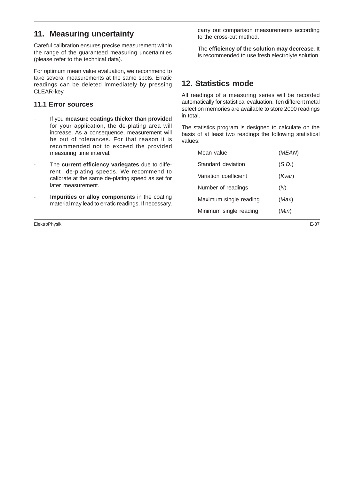# **11. Measuring uncertainty**

Careful calibration ensures precise measurement within the range of the guaranteed measuring uncertainties (please refer to the technical data).

For optimum mean value evaluation, we recommend to take several measurements at the same spots. Erratic readings can be deleted immediately by pressing CLEAR-key.

#### **11.1 Error sources**

- If you **measure coatings thicker than provided** for your application, the de-plating area will increase. As a consequence, measurement will be out of tolerances. For that reason it is recommended not to exceed the provided measuring time interval.
- The current efficiency variegates due to different de-plating speeds. We recommend to calibrate at the same de-plating speed as set for later measurement.
- Impurities or alloy components in the coating material may lead to erratic readings. If necessary,

ElektroPhysik E-37

carry out comparison measurements according to the cross-cut method.

The efficiency of the solution may decrease. It is recommended to use fresh electrolyte solution.

# **12. Statistics mode**

All readings of a measuring series will be recorded automatically for statistical evaluation. Ten different metal selection memories are available to store 2000 readings in total.

The statistics program is designed to calculate on the basis of at least two readings the following statistical values:

| Mean value             | (MEAN) |
|------------------------|--------|
| Standard deviation     | (S.D.) |
| Variation coefficient  | (Kvar) |
| Number of readings     | (M)    |
| Maximum single reading | (Max)  |
| Minimum single reading | (Min)  |
|                        |        |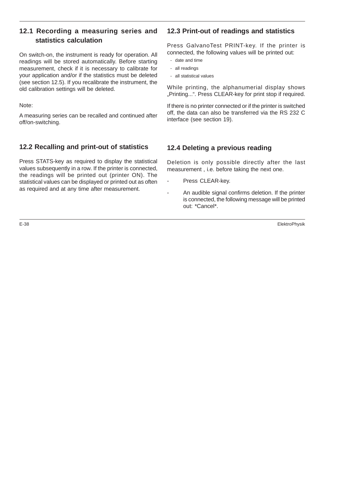### **12.1 Recording a measuring series and statistics calculation**

On switch-on, the instrument is ready for operation. All readings will be stored automatically. Before starting measurement, check if it is necessary to calibrate for your application and/or if the statistics must be deleted (see section 12.5). If you recalibrate the instrument, the old calibration settings will be deleted.

Note:

A measuring series can be recalled and continued after off/on-switching.

# **12.2 Recalling and print-out of statistics**

Press STATS-key as required to display the statistical values subsequently in a row. If the printer is connected, the readings will be printed out (printer ON). The statistical values can be displayed or printed out as often as required and at any time after measurement.

#### **12.3 Print-out of readings and statistics**

Press GalvanoTest PRINT-key. If the printer is connected, the following values will be printed out:

- date and time
- all readings
- all statistical values

While printing, the alphanumerial display shows "Printing...". Press CLEAR-key for print stop if required.

If there is no printer connected or if the printer is switched off, the data can also be transferred via the RS 232 C interface (see section 19).

### **12.4 Deleting a previous reading**

Deletion is only possible directly after the last measurement , i.e. before taking the next one.

- Press CLEAR-key.
- An audible signal confirms deletion. If the printer is connected, the following message will be printed out: \*Cancel\*.

E-38 ElektroPhysik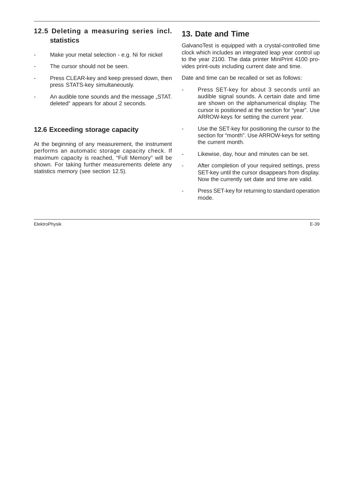# **12.5 Deleting a measuring series incl. statistics**

- Make your metal selection e.g. Ni for nickel
- The cursor should not be seen.
- Press CLEAR-key and keep pressed down, then press STATS-key simultaneously.
- An audible tone sounds and the message "STAT. deleted" appears for about 2 seconds.

#### **12.6 Exceeding storage capacity**

At the beginning of any measurement, the instrument performs an automatic storage capacity check. If maximum capacity is reached, "Full Memory" will be shown. For taking further measurements delete any statistics memory (see section 12.5).

# **13. Date and Time**

GalvanoTest is equipped with a crystal-controlled time clock which includes an integrated leap year control up to the year 2100. The data printer MiniPrint 4100 provides print-outs including current date and time.

Date and time can be recalled or set as follows:

- Press SET-key for about 3 seconds until an audible signal sounds. A certain date and time are shown on the alphanumerical display. The cursor is positioned at the section for "year". Use ARROW-keys for setting the current year.
- Use the SET-key for positioning the cursor to the section for "month". Use ARROW-keys for setting the current month.
- Likewise, day, hour and minutes can be set.
- After completion of your required settings, press SET-key until the cursor disappears from display. Now the currently set date and time are valid.
- Press SET-key for returning to standard operation mode.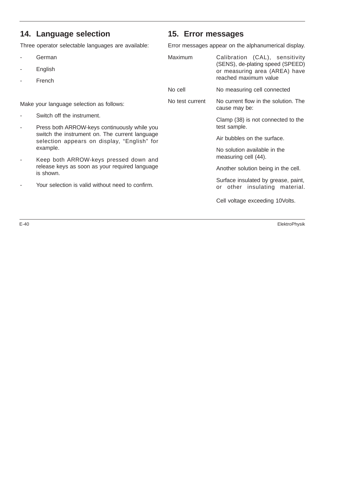# **14. Language selection**

Three operator selectable languages are available:

- **German**
- **English**
- **French**

Make your language selection as follows:

- Switch off the instrument.
- Press both ARROW-keys continuously while yo switch the instrument on. The current languag selection appears on display, "English" fo example.
- Keep both ARROW-keys pressed down an release keys as soon as your required languag is shown.
- Your selection is valid without need to confirm.

## **15. Error messages**

Error messages appear on the alphanumerical display.

|          | Maximum         | Calibration (CAL), sensitivity<br>(SENS), de-plating speed (SPEED)<br>or measuring area (AREA) have<br>reached maximum value |
|----------|-----------------|------------------------------------------------------------------------------------------------------------------------------|
|          | No cell         | No measuring cell connected                                                                                                  |
|          | No test current | No current flow in the solution. The<br>cause may be:                                                                        |
| วน       |                 | Clamp (38) is not connected to the<br>test sample.                                                                           |
| gе<br>or |                 | Air bubbles on the surface.                                                                                                  |
| ٦d       |                 | No solution available in the<br>measuring cell (44).                                                                         |
| ąе       |                 | Another solution being in the cell.                                                                                          |
|          |                 | Surface insulated by grease, paint,<br>or other insulating material.                                                         |
|          |                 | Cell voltage exceeding 10Volts.                                                                                              |

E-40 ElektroPhysik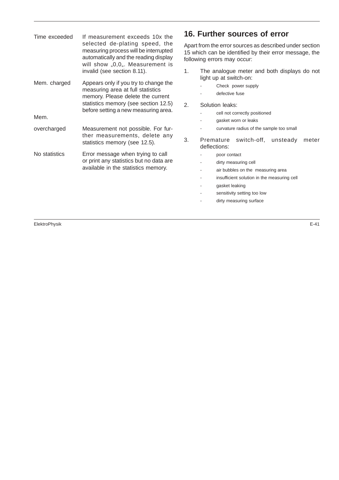| Time exceeded | If measurement exceeds 10x the                                                                                                                                                                  | 16. l                      |
|---------------|-------------------------------------------------------------------------------------------------------------------------------------------------------------------------------------------------|----------------------------|
|               | selected de-plating speed, the<br>measuring process will be interrupted<br>automatically and the reading display<br>will show "0,0". Measurement is                                             | Apart<br>$15$ wh<br>follow |
|               | invalid (see section 8.11).                                                                                                                                                                     | 1.                         |
| Mem. charged  | Appears only if you try to change the<br>measuring area at full statistics<br>memory. Please delete the current<br>statistics memory (see section 12.5)<br>before setting a new measuring area. | 2.                         |
| Mem.          |                                                                                                                                                                                                 |                            |
| overcharged   | Measurement not possible. For fur-<br>ther measurements, delete any<br>statistics memory (see 12.5).                                                                                            | 3.                         |
| No statistics | Error message when trying to call<br>or print any statistics but no data are<br>available in the statistics memory.                                                                             |                            |
|               |                                                                                                                                                                                                 |                            |
|               |                                                                                                                                                                                                 |                            |
|               |                                                                                                                                                                                                 |                            |

**16. Further sources of error**

from the error sources as described under section ich can be identified by their error message, the ing errors may occur:

- The analogue meter and both displays do not light up at switch-on:
	- Check power supply
	- defective fuse
- Solution leaks:
	- cell not correctly positioned
	- gasket worn or leaks
	- curvature radius of the sample too small
- Premature switch-off, unsteady meter deflections:
	- poor contact
	- dirty measuring cell
	- air bubbles on the measuring area
	- insufficient solution in the measuring cell
	- gasket leaking
	- sensitivity setting too low
	- dirty measuring surface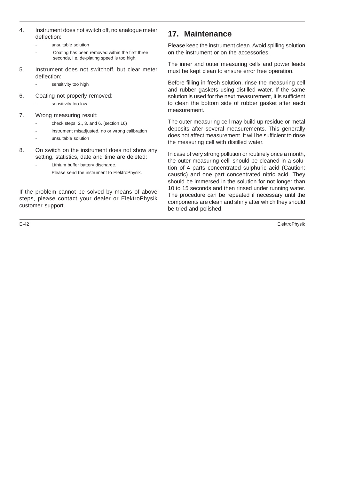- 4. Instrument does not switch off, no analogue meter deflection:
	- unsuitable solution
	- Coating has been removed within the first three seconds, i.e. de-plating speed is too high.
- 5. Instrument does not switchoff, but clear meter deflection:
	- sensitivity too high
- 6. Coating not properly removed:
	- sensitivity too low
- 7. Wrong measuring result:
	- check steps 2., 3. and 6. (section 16)
	- instrument misadjusted, no or wrong calibration
	- unsuitable solution
- 8. On switch on the instrument does not show any setting, statistics, date and time are deleted:
	- Lithium buffer battery discharge.
		- Please send the instrument to ElektroPhysik.

If the problem cannot be solved by means of above steps, please contact your dealer or ElektroPhysik customer support.

# **17. Maintenance**

Please keep the instrument clean. Avoid spilling solution on the instrument or on the accessories.

The inner and outer measuring cells and power leads must be kept clean to ensure error free operation.

Before filling in fresh solution, rinse the measuring cell and rubber gaskets using distilled water. If the same solution is used for the next measurement, it is sufficient to clean the bottom side of rubber gasket after each measurement.

The outer measuring cell may build up residue or metal deposits after several measurements. This generally does not affect measurement. It will be sufficient to rinse the measuring cell with distilled water.

In case of very strong pollution or routinely once a month, the outer measuring celll should be cleaned in a solution of 4 parts concentrated sulphuric acid (Caution: caustic) and one part concentrated nitric acid. They should be immersed in the solution for not longer than 10 to 15 seconds and then rinsed under running water. The procedure can be repeated if necessary until the components are clean and shiny after which they should be tried and polished.

E-42 ElektroPhysik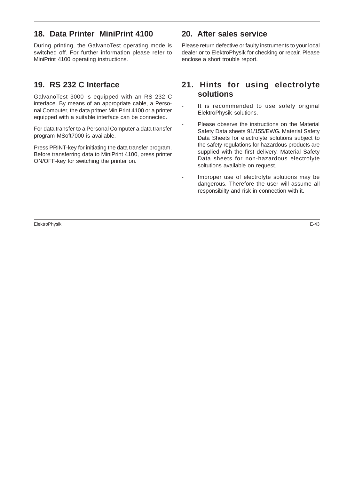# **18. Data Printer MiniPrint 4100**

During printing, the GalvanoTest operating mode is switched off. For further information please refer to MiniPrint 4100 operating instructions.

# **19. RS 232 C Interface**

GalvanoTest 3000 is equipped with an RS 232 C interface. By means of an appropriate cable, a Personal Computer, the data pritner MiniPrint 4100 or a printer equipped with a suitable interface can be connected.

For data transfer to a Personal Computer a data transfer program MSoft7000 is available.

Press PRINT-key for initiating the data transfer program. Before transferring data to MiniPrint 4100, press printer ON/OFF-key for switching the printer on.

# **20. After sales service**

Please return defective or faulty instruments to your local dealer or to ElektroPhysik for checking or repair. Please enclose a short trouble report.

# **21. Hints for using electrolyte solutions**

- It is recommended to use solely original ElektroPhysik solutions.
- Please observe the instructions on the Material Safety Data sheets 91/155/EWG. Material Safety Data Sheets for electrolyte solutions subject to the safety regulations for hazardous products are supplied with the first delivery. Material Safety Data sheets for non-hazardous electrolyte soltutions available on request.
- Improper use of electrolyte solutions may be dangerous. Therefore the user will assume all responsibilty and risk in connection with it.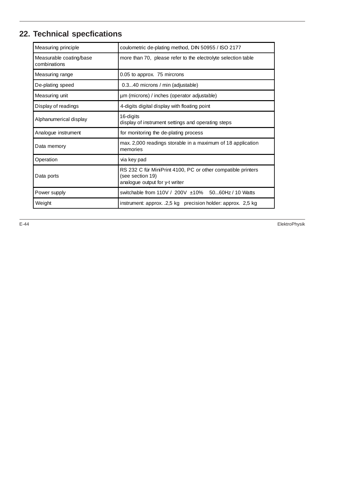# **22. Technical specfications**

| Measuring principle                     | coulometric de-plating method, DIN 50955 / ISO 2177                                                                |  |  |  |
|-----------------------------------------|--------------------------------------------------------------------------------------------------------------------|--|--|--|
| Measurable coating/base<br>combinations | more than 70, please refer to the electrolyte selection table                                                      |  |  |  |
| Measuring range                         | 0.05 to approx. 75 mircrons                                                                                        |  |  |  |
| De-plating speed                        | 0.340 microns / min (adjustable)                                                                                   |  |  |  |
| Measuring unit                          | µm (microns) / inches (operator adjustable)                                                                        |  |  |  |
| Display of readings                     | 4-digits digital display with floating point                                                                       |  |  |  |
| Alphanumerical display                  | 16-digits<br>display of instrument settings and operating steps                                                    |  |  |  |
| Analogue instrument                     | for monitoring the de-plating process                                                                              |  |  |  |
| Data memory                             | max. 2,000 readings storable in a maximum of 18 application<br>memories                                            |  |  |  |
| Operation                               | via key pad                                                                                                        |  |  |  |
| Data ports                              | RS 232 C für MiniPrint 4100, PC or other compatible printers<br>(see section 19)<br>analogue output for y-t writer |  |  |  |
| Power supply                            | switchable from 110V / 200V ±10% 5060Hz / 10 Watts                                                                 |  |  |  |
| Weight                                  | instrument: approx. .2,5 kg precision holder: approx. 2,5 kg                                                       |  |  |  |

E-44 ElektroPhysik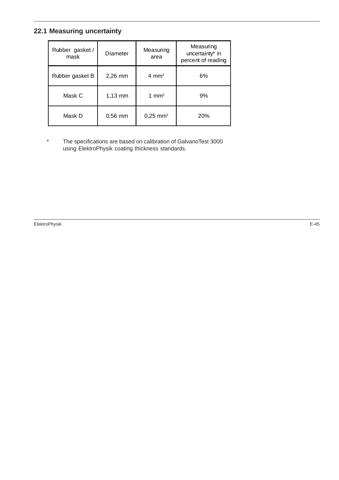# **22.1 Measuring uncertainty**

| Rubber gasket/<br>mask | Measuring<br>Diameter<br>area |                        | Measuring<br>uncertainty* in<br>percent of reading |  |
|------------------------|-------------------------------|------------------------|----------------------------------------------------|--|
| Rubber gasket B        | $2,26$ mm                     | 4 mm <sup>2</sup>      | 6%                                                 |  |
| Mask C                 | $1,13$ mm                     | 1 mm <sup>2</sup>      | 9%                                                 |  |
| Mask D                 | $0,56$ mm                     | $0,25$ mm <sup>2</sup> | 20%                                                |  |

\* The specifications are based on calibration of GalvanoTest 3000 using ElektroPhysik coating thickness standards.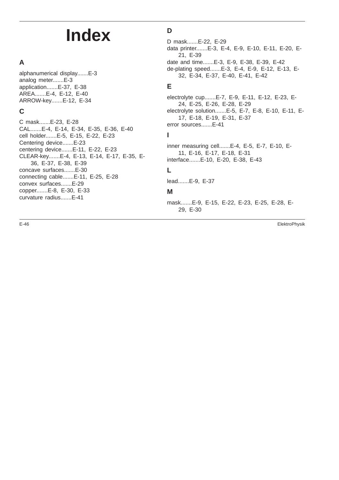# **Index**

# **A**

alphanumerical display.......E-3 analog meter.......E-3 application.......E-37, E-38 AREA.......E-4, E-12, E-40 ARROW-key.......E-12, E-34

# **C**

C mask.......E-23, E-28 CAL.......E-4, E-14, E-34, E-35, E-36, E-40 cell holder.......E-5, E-15, E-22, E-23 Centering device.......E-23 centering device.......E-11, E-22, E-23 CLEAR-key.......E-4, E-13, E-14, E-17, E-35, E-36, E-37, E-38, E-39 concave surfaces.......E-30 connecting cable.......E-11, E-25, E-28 convex surfaces.......E-29 copper.......E-8, E-30, E-33 curvature radius.......E-41

# **D**

D mask.......E-22, E-29

data printer.......E-3, E-4, E-9, E-10, E-11, E-20, E-21, E-39 date and time.......E-3, E-9, E-38, E-39, E-42

de-plating speed.......E-3, E-4, E-9, E-12, E-13, E-32, E-34, E-37, E-40, E-41, E-42

#### **E**

electrolyte cup.......E-7, E-9, E-11, E-12, E-23, E-24, E-25, E-26, E-28, E-29 electrolyte solution.......E-5, E-7, E-8, E-10, E-11, E-17, E-18, E-19, E-31, E-37 error sources.......E-41

#### **I**

inner measuring cell.......E-4, E-5, E-7, E-10, E-11, E-16, E-17, E-18, E-31 interface.......E-10, E-20, E-38, E-43

# **L**

lead.......E-9, E-37

#### **M**

mask.......E-9, E-15, E-22, E-23, E-25, E-28, E-29, E-30

E-46 ElektroPhysik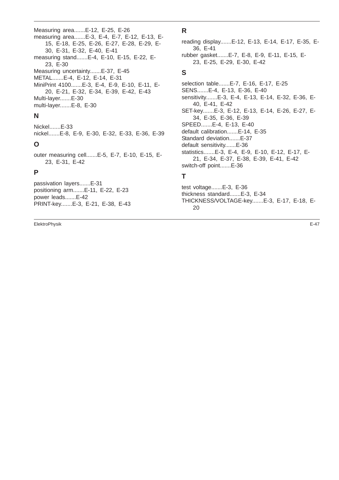Measuring area.......E-12, E-25, E-26 measuring area.......E-3, E-4, E-7, E-12, E-13, E-15, E-18, E-25, E-26, E-27, E-28, E-29, E-30, E-31, E-32, E-40, E-41 measuring stand.......E-4, E-10, E-15, E-22, E-23, E-30 Measuring uncertainty.......E-37, E-45 METAL.......E-4, E-12, E-14, E-31 MiniPrint 4100.......E-3, E-4, E-9, E-10, E-11, E-20, E-21, E-32, E-34, E-39, E-42, E-43 Multi-layer.......E-30 multi-layer.......E-8, E-30

#### **N**

Nickel.......E-33 nickel.......E-8, E-9, E-30, E-32, E-33, E-36, E-39

#### **O**

outer measuring cell.......E-5, E-7, E-10, E-15, E-23, E-31, E-42

#### **P**

passivation layers.......E-31 positioning arm.......E-11, E-22, E-23 power leads.......E-42 PRINT-key.......E-3, E-21, E-38, E-43

ElektroPhysik E-47

# **R**

reading display.......E-12, E-13, E-14, E-17, E-35, E-36, E-41 rubber gasket.......E-7, E-8, E-9, E-11, E-15, E-23, E-25, E-29, E-30, E-42 **S** selection table.......E-7, E-16, E-17, E-25

SENS.......E-4, E-13, E-36, E-40 sensitivity.......E-3, E-4, E-13, E-14, E-32, E-36, E-40, E-41, E-42 SET-key.......E-3, E-12, E-13, E-14, E-26, E-27, E-34, E-35, E-36, E-39 SPEED.......E-4, E-13, E-40 default calibration.......E-14, E-35 Standard deviation.......E-37 default sensitivity.......E-36 statistics.......E-3, E-4, E-9, E-10, E-12, E-17, E-21, E-34, E-37, E-38, E-39, E-41, E-42 switch-off point.......E-36 **T**

test voltage.......E-3, E-36

- thickness standard.......E-3, E-34
- THICKNESS/VOLTAGE-key.......E-3, E-17, E-18, E-20